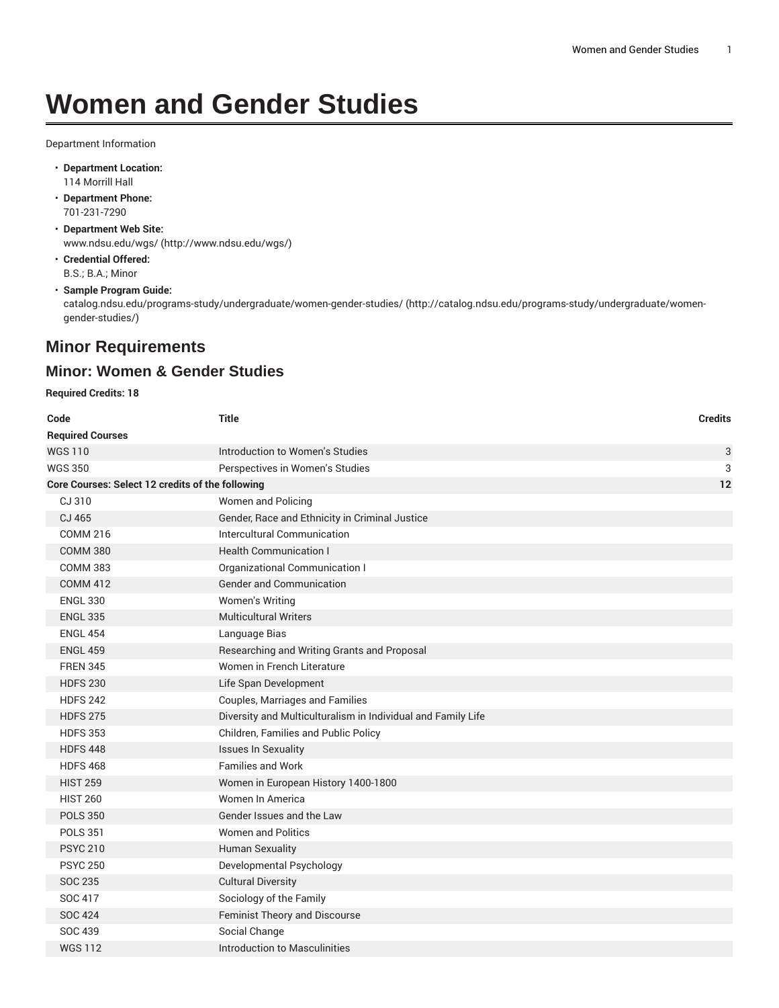## **Women and Gender Studies**

Department Information

- **Department Location:** 114 Morrill Hall
- **Department Phone:** 701-231-7290
- **Department Web Site:** [www.ndsu.edu/wgs/](http://www.ndsu.edu/wgs/) [\(http://www.ndsu.edu/wgs/\)](http://www.ndsu.edu/wgs/)
- **Credential Offered:** B.S.; B.A.; Minor
- **Sample Program Guide:**

[catalog.ndsu.edu/programs-study/undergraduate/women-gender-studies/](http://catalog.ndsu.edu/programs-study/undergraduate/women-gender-studies/) ([http://catalog.ndsu.edu/programs-study/undergraduate/women](http://catalog.ndsu.edu/programs-study/undergraduate/women-gender-studies/)[gender-studies/\)](http://catalog.ndsu.edu/programs-study/undergraduate/women-gender-studies/)

## **Minor Requirements**

## **Minor: Women & Gender Studies**

**Required Credits: 18**

| Code                                             | <b>Title</b>                                                 | <b>Credits</b> |
|--------------------------------------------------|--------------------------------------------------------------|----------------|
| <b>Required Courses</b>                          |                                                              |                |
| <b>WGS110</b>                                    | Introduction to Women's Studies                              | 3              |
| <b>WGS 350</b>                                   | Perspectives in Women's Studies                              | 3              |
| Core Courses: Select 12 credits of the following |                                                              | 12             |
| CJ 310                                           | Women and Policing                                           |                |
| CJ 465                                           | Gender, Race and Ethnicity in Criminal Justice               |                |
| <b>COMM 216</b>                                  | Intercultural Communication                                  |                |
| <b>COMM 380</b>                                  | <b>Health Communication I</b>                                |                |
| <b>COMM 383</b>                                  | Organizational Communication I                               |                |
| <b>COMM 412</b>                                  | <b>Gender and Communication</b>                              |                |
| <b>ENGL 330</b>                                  | Women's Writing                                              |                |
| <b>ENGL 335</b>                                  | <b>Multicultural Writers</b>                                 |                |
| <b>ENGL 454</b>                                  | Language Bias                                                |                |
| <b>ENGL 459</b>                                  | Researching and Writing Grants and Proposal                  |                |
| <b>FREN 345</b>                                  | Women in French Literature                                   |                |
| <b>HDFS 230</b>                                  | Life Span Development                                        |                |
| <b>HDFS 242</b>                                  | Couples, Marriages and Families                              |                |
| <b>HDFS 275</b>                                  | Diversity and Multiculturalism in Individual and Family Life |                |
| <b>HDFS 353</b>                                  | Children, Families and Public Policy                         |                |
| <b>HDFS 448</b>                                  | <b>Issues In Sexuality</b>                                   |                |
| <b>HDFS 468</b>                                  | <b>Families and Work</b>                                     |                |
| <b>HIST 259</b>                                  | Women in European History 1400-1800                          |                |
| <b>HIST 260</b>                                  | Women In America                                             |                |
| <b>POLS 350</b>                                  | Gender Issues and the Law                                    |                |
| <b>POLS 351</b>                                  | <b>Women and Politics</b>                                    |                |
| <b>PSYC 210</b>                                  | <b>Human Sexuality</b>                                       |                |
| <b>PSYC 250</b>                                  | Developmental Psychology                                     |                |
| SOC 235                                          | <b>Cultural Diversity</b>                                    |                |
| SOC 417                                          | Sociology of the Family                                      |                |
| <b>SOC 424</b>                                   | Feminist Theory and Discourse                                |                |
| SOC 439                                          | Social Change                                                |                |
| <b>WGS 112</b>                                   | Introduction to Masculinities                                |                |